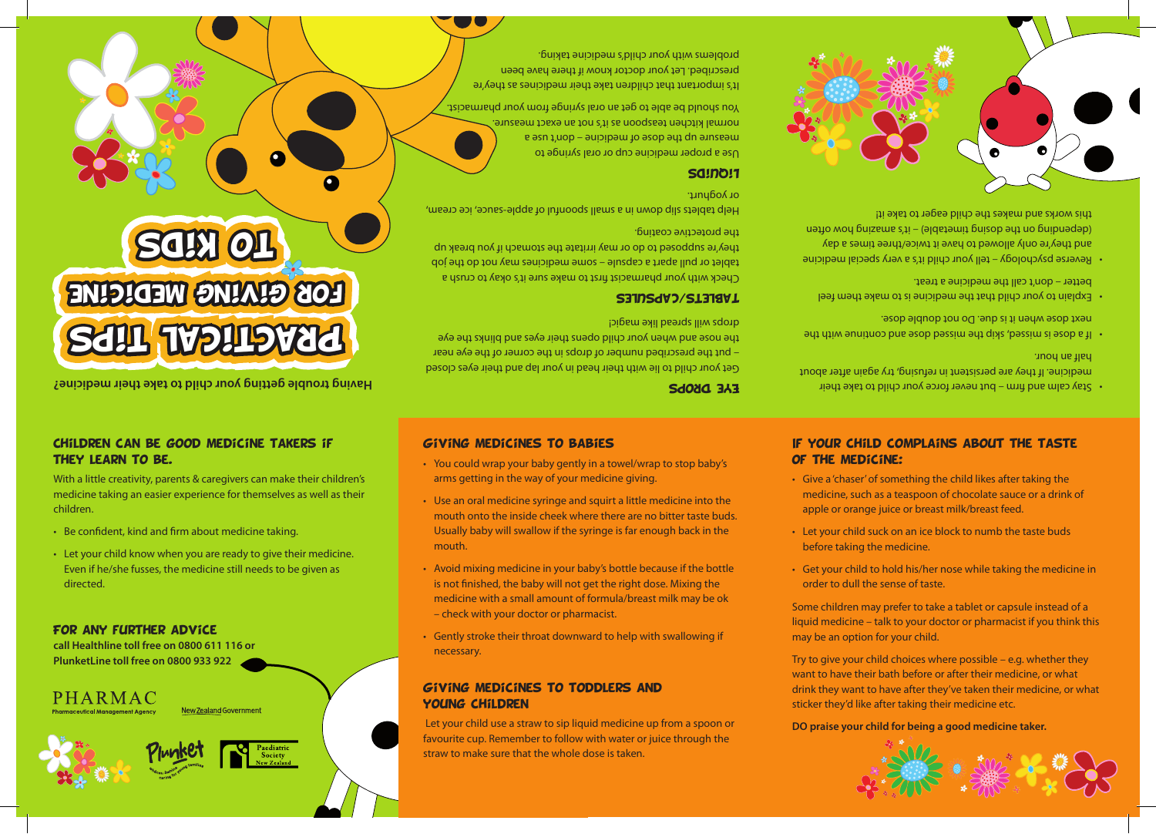

Try to give your child choices where possible – e.g. whether they want to have their bath before or after their medicine, or what drink they want to have after they've taken their medicine, or what sticker they'd like after taking their medicine etc.

Some children may prefer to take a tablet or capsule instead of a liquid medicine – talk to your doctor or pharmacist if you think this may be an option for your child.

- Get your child to hold his/her nose while taking the medicine in order to dull the sense of taste.
- Let your child suck on an ice block to numb the taste buds before taking the medicine.
- • Give a 'chaser'of something the child likes after taking the medicine, such as a teaspoon of chocolate sauce or a drink of apple or orange juice or breast milk/breast feed.

# If your child complains about the taste of the medicine:

Eye Drops

drops will spread like magic! Tablets/capsules

the protective coating.

yoghurt. or Liquids

Get your child to lie with their head in your lap and their eyes closed - put the prescribed number of drops in the corner of the eye near the nose and when your child opens their eyes and blinks the eye

• You could wrap your baby gently in a towel/wrap to stop baby's

• Use an oral medicine syringe and squirt a little medicine into the mouth onto the inside cheek where there are no bitter taste buds. Usually baby will swallow if the syringe is far enough back in the

• Avoid mixing medicine in your baby's bottle because if the bottle is not finished, the baby will not get the right dose. Mixing the medicine with a small amount of formula/breast milk may be ok

• Gently stroke their throat downward to help with swallowing if

Let your child use a straw to sip liquid medicine up from a spoon or favourite cup. Remember to follow with water or juice through the

 arms getting in the way of your medicine giving.

Giving medicines to babies

 – check with your doctor or pharmacist.

Giving medicines to toddlers and

straw to make sure that the whole dose is taken.

 mouth.

necessary.

young children

Check with your pharmacist first to make sure it's okay to crush a tablet or pull apart a capsule – some medicines may not do the job they're supposed to do or may irritate the stomach if you break up

Figures and understand in some in a sum that is spoon. The sum in that is supply in the sum in the sum in the

You should be able to get an oral syringe from your pharmacist. It's important that children take their medicines as they're prescribed. Let your doctor know if there have been problems with your child's medicine taking.

> Use a proper medicine cup or oral syringe to a esn 1,uop – auipipem to esop aut dn anseau mormal kitchen teaspoon as it's not an exact measure.

- Having trouble getting trouble and their mever force your child having their medicine. The proper medicines child your force your child your force your child your force your force never but excepting their medicines of the medicine. If they are persistent in refusing, try again after about half an hour.
- the with continue and dose missed dose supportinue missed. next dose when it is due. Do not double dose.
- $\cdot$  Explain to your child that the medicine is to make them feel better – don't call the medicine a treat.
- Reverse psychology tell your child it's a very special medicine and they're only allowed to have it twice/three times a day often how and the original in the time the only client in the outpus this works and makes the child eager to take it!



- Even if he/she fusses, the medicine still needs to be given as
- Be confident, kind and firm about medicine taking.
- Let your child know when you are ready to give their medicine. directed.

## For any further advice

**call Healthline toll free on 0800 611 116 or PlunketLine toll free on 0800 933 922**

PHARMAC



New Zealand Government

### With a little creativity, parents & caregivers can make their children's medicine taking an easier experience for themselves as well as their children.

## Children can be good medicine takers if they learn to be.